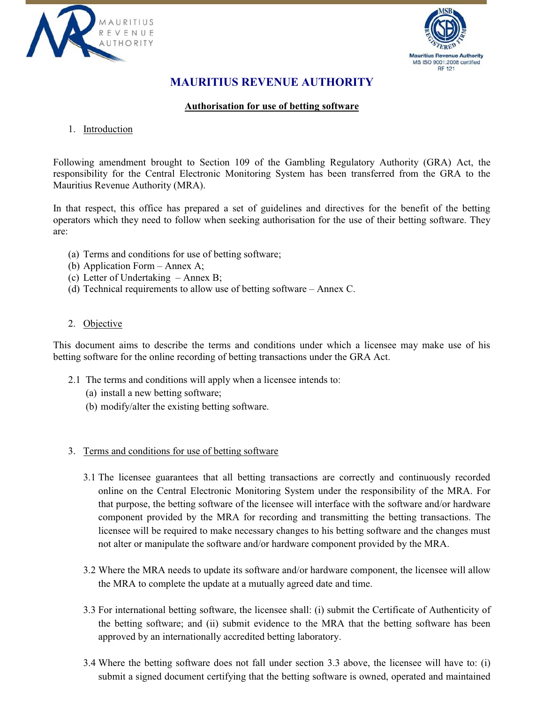



## **MAURITIUS REVENUE AUTHORITY**

## **Authorisation for use of betting software**

## 1. Introduction

Following amendment brought to Section 109 of the Gambling Regulatory Authority (GRA) Act, the responsibility for the Central Electronic Monitoring System has been transferred from the GRA to the Mauritius Revenue Authority (MRA).

In that respect, this office has prepared a set of guidelines and directives for the benefit of the betting operators which they need to follow when seeking authorisation for the use of their betting software. They are:

- (a) Terms and conditions for use of betting software;
- (b) Application Form Annex A;
- (c) Letter of Undertaking Annex B;
- (d) Technical requirements to allow use of betting software Annex C.

#### 2. Objective

This document aims to describe the terms and conditions under which a licensee may make use of his betting software for the online recording of betting transactions under the GRA Act.

- 2.1 The terms and conditions will apply when a licensee intends to:
	- (a) install a new betting software;
	- (b) modify/alter the existing betting software.

#### 3. Terms and conditions for use of betting software

- 3.1 The licensee guarantees that all betting transactions are correctly and continuously recorded online on the Central Electronic Monitoring System under the responsibility of the MRA. For that purpose, the betting software of the licensee will interface with the software and/or hardware component provided by the MRA for recording and transmitting the betting transactions. The licensee will be required to make necessary changes to his betting software and the changes must not alter or manipulate the software and/or hardware component provided by the MRA.
- 3.2 Where the MRA needs to update its software and/or hardware component, the licensee will allow the MRA to complete the update at a mutually agreed date and time.
- 3.3 For international betting software, the licensee shall: (i) submit the Certificate of Authenticity of the betting software; and (ii) submit evidence to the MRA that the betting software has been approved by an internationally accredited betting laboratory.
- 3.4 Where the betting software does not fall under section 3.3 above, the licensee will have to: (i) submit a signed document certifying that the betting software is owned, operated and maintained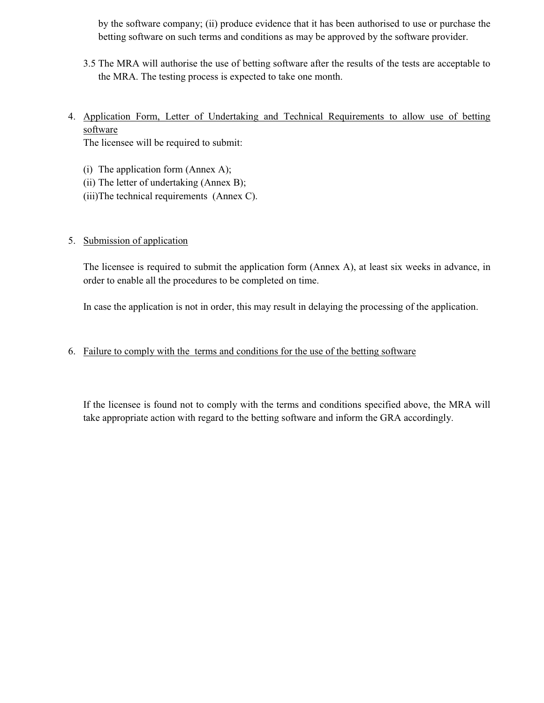by the software company; (ii) produce evidence that it has been authorised to use or purchase the betting software on such terms and conditions as may be approved by the software provider.

- 3.5 The MRA will authorise the use of betting software after the results of the tests are acceptable to the MRA. The testing process is expected to take one month.
- 4. Application Form, Letter of Undertaking and Technical Requirements to allow use of betting software

The licensee will be required to submit:

- (i) The application form (Annex A);
- (ii) The letter of undertaking (Annex B);
- (iii)The technical requirements (Annex C).

## 5. Submission of application

The licensee is required to submit the application form (Annex A), at least six weeks in advance, in order to enable all the procedures to be completed on time.

In case the application is not in order, this may result in delaying the processing of the application.

## 6. Failure to comply with the terms and conditions for the use of the betting software

If the licensee is found not to comply with the terms and conditions specified above, the MRA will take appropriate action with regard to the betting software and inform the GRA accordingly.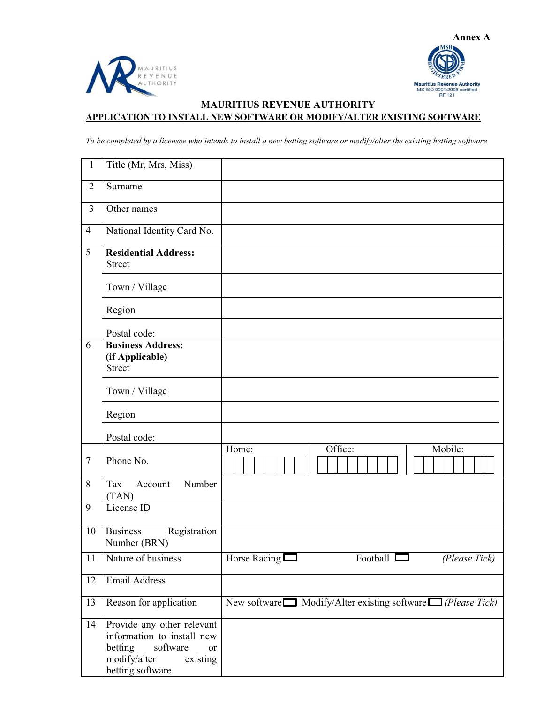



## **MAURITIUS REVENUE AUTHORITY APPLICATION TO INSTALL NEW SOFTWARE OR MODIFY/ALTER EXISTING SOFTWARE**

*To be completed by a licensee who intends to install a new betting software or modify/alter the existing betting software* 

| $\mathbf{1}$    | Title (Mr, Mrs, Miss)                                                                                                                 |                                                                         |
|-----------------|---------------------------------------------------------------------------------------------------------------------------------------|-------------------------------------------------------------------------|
| $\overline{2}$  | Surname                                                                                                                               |                                                                         |
| $\overline{3}$  | Other names                                                                                                                           |                                                                         |
| $\overline{4}$  | National Identity Card No.                                                                                                            |                                                                         |
| 5               | <b>Residential Address:</b><br><b>Street</b>                                                                                          |                                                                         |
|                 | Town / Village                                                                                                                        |                                                                         |
|                 | Region                                                                                                                                |                                                                         |
|                 | Postal code:                                                                                                                          |                                                                         |
| 6               | <b>Business Address:</b><br>(if Applicable)<br><b>Street</b>                                                                          |                                                                         |
|                 | Town / Village                                                                                                                        |                                                                         |
|                 | Region                                                                                                                                |                                                                         |
|                 | Postal code:                                                                                                                          |                                                                         |
| $\overline{7}$  | Phone No.                                                                                                                             | Office:<br>Mobile:<br>Home:                                             |
| 8               | Number<br>Tax<br>Account<br>(TAN)                                                                                                     |                                                                         |
| 9               | License ID                                                                                                                            |                                                                         |
| 10              | <b>Business</b><br>Registration<br>Number (BRN)                                                                                       |                                                                         |
| $\overline{11}$ | Nature of business                                                                                                                    | Horse Racing $\Box$<br>Football $\Box$<br>(Please Tick)                 |
| 12              | <b>Email Address</b>                                                                                                                  |                                                                         |
| 13              | Reason for application                                                                                                                | New software $\Box$ Modify/Alter existing software $\Box$ (Please Tick) |
| 14              | Provide any other relevant<br>information to install new<br>betting<br>software<br>or<br>modify/alter<br>existing<br>betting software |                                                                         |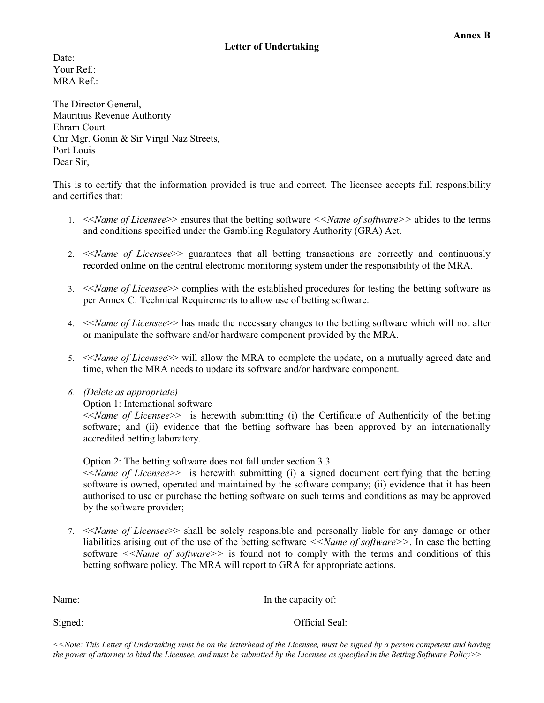Date: Your  $Ref.$ MRA Ref.:

The Director General, Mauritius Revenue Authority Ehram Court Cnr Mgr. Gonin & Sir Virgil Naz Streets, Port Louis Dear Sir,

This is to certify that the information provided is true and correct. The licensee accepts full responsibility and certifies that:

- 1. <<*Name of Licensee*>> ensures that the betting software *<<Name of software>>* abides to the terms and conditions specified under the Gambling Regulatory Authority (GRA) Act.
- 2. <<*Name of Licensee*>> guarantees that all betting transactions are correctly and continuously recorded online on the central electronic monitoring system under the responsibility of the MRA.
- 3. <<*Name of Licensee*>> complies with the established procedures for testing the betting software as per Annex C: Technical Requirements to allow use of betting software.
- 4. <<*Name of Licensee*>> has made the necessary changes to the betting software which will not alter or manipulate the software and/or hardware component provided by the MRA.
- 5. <<*Name of Licensee*>> will allow the MRA to complete the update, on a mutually agreed date and time, when the MRA needs to update its software and/or hardware component.
- *6. (Delete as appropriate)*

Option 1: International software

<<*Name of Licensee*>> is herewith submitting (i) the Certificate of Authenticity of the betting software; and (ii) evidence that the betting software has been approved by an internationally accredited betting laboratory.

Option 2: The betting software does not fall under section 3.3 <<*Name of Licensee*>> is herewith submitting (i) a signed document certifying that the betting software is owned, operated and maintained by the software company; (ii) evidence that it has been authorised to use or purchase the betting software on such terms and conditions as may be approved by the software provider;

7. <<*Name of Licensee*>> shall be solely responsible and personally liable for any damage or other liabilities arising out of the use of the betting software *<<Name of software*>>. In case the betting software  $\leq$ *Name of software* $\geq$  is found not to comply with the terms and conditions of this betting software policy. The MRA will report to GRA for appropriate actions.

Name: In the capacity of:

**Annex B** 

Signed: Official Seal:

*<<Note: This Letter of Undertaking must be on the letterhead of the Licensee, must be signed by a person competent and having the power of attorney to bind the Licensee, and must be submitted by the Licensee as specified in the Betting Software Policy>>*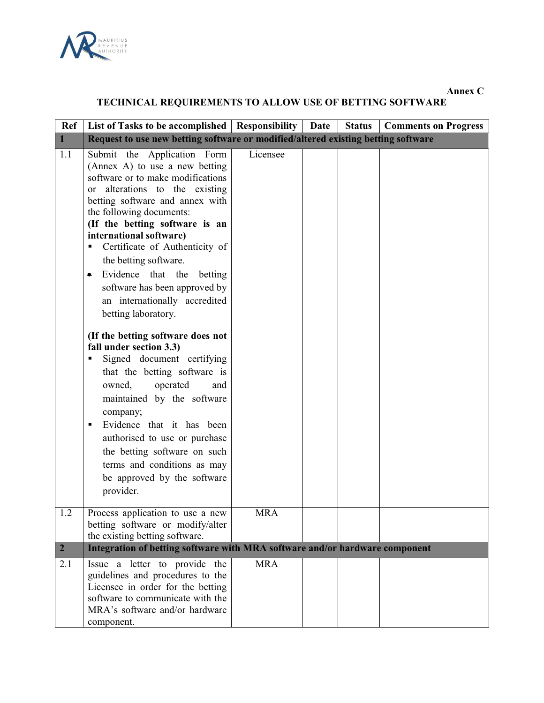

**Annex C** 

# **TECHNICAL REQUIREMENTS TO ALLOW USE OF BETTING SOFTWARE**

| Ref            | List of Tasks to be accomplished   Responsibility                                                                                                                                                                                                                                                                                                                                                                                                                                                                                                                                                                                                                                                                                                                                                                                                          |            | Date | <b>Status</b> | <b>Comments on Progress</b> |  |
|----------------|------------------------------------------------------------------------------------------------------------------------------------------------------------------------------------------------------------------------------------------------------------------------------------------------------------------------------------------------------------------------------------------------------------------------------------------------------------------------------------------------------------------------------------------------------------------------------------------------------------------------------------------------------------------------------------------------------------------------------------------------------------------------------------------------------------------------------------------------------------|------------|------|---------------|-----------------------------|--|
| $\mathbf{1}$   | Request to use new betting software or modified/altered existing betting software                                                                                                                                                                                                                                                                                                                                                                                                                                                                                                                                                                                                                                                                                                                                                                          |            |      |               |                             |  |
| 1.1            | Submit the Application Form<br>(Annex A) to use a new betting<br>software or to make modifications<br>alterations to the existing<br><sub>or</sub><br>betting software and annex with<br>the following documents:<br>(If the betting software is an<br>international software)<br>Certificate of Authenticity of<br>Ξ<br>the betting software.<br>Evidence that the<br>betting<br>software has been approved by<br>an internationally accredited<br>betting laboratory.<br>(If the betting software does not<br>fall under section 3.3)<br>Signed document certifying<br>that the betting software is<br>operated<br>owned,<br>and<br>maintained by the software<br>company;<br>Evidence that it has been<br>Ξ<br>authorised to use or purchase<br>the betting software on such<br>terms and conditions as may<br>be approved by the software<br>provider. | Licensee   |      |               |                             |  |
| 1.2            | Process application to use a new<br>betting software or modify/alter<br>the existing betting software.                                                                                                                                                                                                                                                                                                                                                                                                                                                                                                                                                                                                                                                                                                                                                     | <b>MRA</b> |      |               |                             |  |
| 2 <sup>1</sup> | Integration of betting software with MRA software and/or hardware component                                                                                                                                                                                                                                                                                                                                                                                                                                                                                                                                                                                                                                                                                                                                                                                |            |      |               |                             |  |
| 2.1            | Issue a letter to provide the<br>guidelines and procedures to the<br>Licensee in order for the betting<br>software to communicate with the<br>MRA's software and/or hardware<br>component.                                                                                                                                                                                                                                                                                                                                                                                                                                                                                                                                                                                                                                                                 | <b>MRA</b> |      |               |                             |  |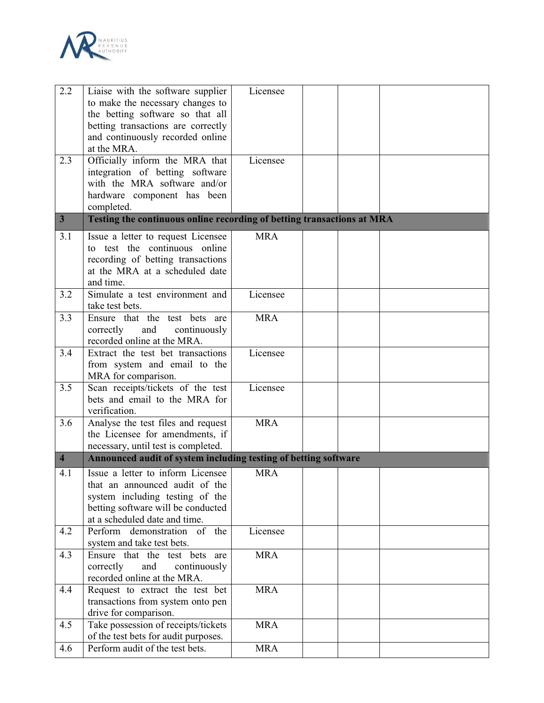

| 2.2                     | Liaise with the software supplier                                      | Licensee   |  |  |
|-------------------------|------------------------------------------------------------------------|------------|--|--|
|                         | to make the necessary changes to                                       |            |  |  |
|                         | the betting software so that all                                       |            |  |  |
|                         | betting transactions are correctly                                     |            |  |  |
|                         | and continuously recorded online                                       |            |  |  |
|                         | at the MRA.                                                            |            |  |  |
| 2.3                     | Officially inform the MRA that                                         | Licensee   |  |  |
|                         | integration of betting software                                        |            |  |  |
|                         | with the MRA software and/or                                           |            |  |  |
|                         | hardware component has been                                            |            |  |  |
|                         | completed.                                                             |            |  |  |
| $\overline{\mathbf{3}}$ | Testing the continuous online recording of betting transactions at MRA |            |  |  |
|                         |                                                                        | <b>MRA</b> |  |  |
| 3.1                     | Issue a letter to request Licensee<br>to test the continuous online    |            |  |  |
|                         |                                                                        |            |  |  |
|                         | recording of betting transactions                                      |            |  |  |
|                         | at the MRA at a scheduled date<br>and time.                            |            |  |  |
| 3.2                     | Simulate a test environment and                                        | Licensee   |  |  |
|                         | take test bets.                                                        |            |  |  |
| 3.3                     | Ensure that the test bets are                                          | <b>MRA</b> |  |  |
|                         | correctly<br>and<br>continuously                                       |            |  |  |
|                         | recorded online at the MRA.                                            |            |  |  |
| 3.4                     | Extract the test bet transactions                                      | Licensee   |  |  |
|                         | from system and email to the                                           |            |  |  |
|                         |                                                                        |            |  |  |
| 3.5                     | MRA for comparison.<br>Scan receipts/tickets of the test               | Licensee   |  |  |
|                         | bets and email to the MRA for                                          |            |  |  |
|                         | verification.                                                          |            |  |  |
| $\overline{3.6}$        | Analyse the test files and request                                     | <b>MRA</b> |  |  |
|                         | the Licensee for amendments, if                                        |            |  |  |
|                         | necessary, until test is completed.                                    |            |  |  |
| $\overline{4}$          | Announced audit of system including testing of betting software        |            |  |  |
|                         |                                                                        |            |  |  |
| 4.1                     | Issue a letter to inform Licensee                                      | <b>MRA</b> |  |  |
|                         | that an announced audit of the                                         |            |  |  |
|                         | system including testing of the                                        |            |  |  |
|                         | betting software will be conducted                                     |            |  |  |
|                         | at a scheduled date and time.<br>$\overline{of}$ the                   |            |  |  |
| 4.2                     | Perform demonstration                                                  | Licensee   |  |  |
| 4.3                     | system and take test bets.<br>Ensure that the test bets are            | <b>MRA</b> |  |  |
|                         | correctly<br>and                                                       |            |  |  |
|                         | continuously<br>recorded online at the MRA.                            |            |  |  |
|                         |                                                                        | <b>MRA</b> |  |  |
| 4.4                     | Request to extract the test bet                                        |            |  |  |
|                         | transactions from system onto pen                                      |            |  |  |
|                         | drive for comparison.                                                  |            |  |  |
| 4.5                     | Take possession of receipts/tickets                                    | <b>MRA</b> |  |  |
|                         | of the test bets for audit purposes.                                   |            |  |  |
| 4.6                     | Perform audit of the test bets.                                        | <b>MRA</b> |  |  |